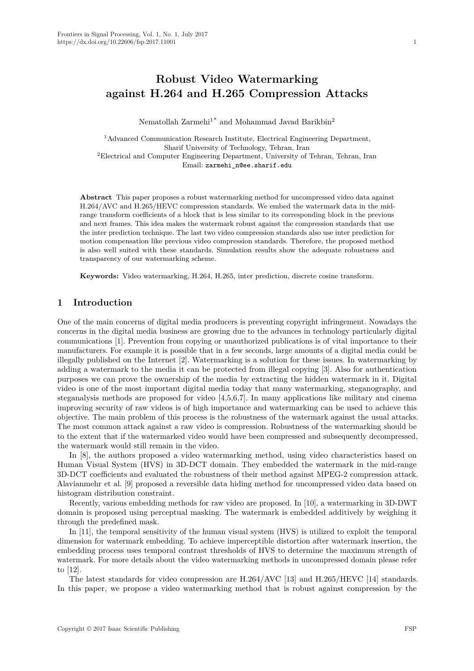# **Robust Video Watermarking against H.264 and H.265 Compression Attacks**

Nematollah Zarmehi<sup>1\*</sup> and Mohammad Javad Barikbin<sup>2</sup>

<sup>1</sup>Advanced Communication Research Institute, Electrical Engineering Department, Sharif University of Technology, Tehran, Iran <sup>2</sup>Electrical and Computer Engineering Department, University of Tehran, Tehran, Iran Email: zarmehi\_n@ee.sharif.edu

**Abstract** This paper proposes a robust watermarking method for uncompressed video data against H.264/AVC and H.265/HEVC compression standards. We embed the watermark data in the midrange transform coefficients of a block that is less similar to its corresponding block in the previous and next frames. This idea makes the watermark robust against the compression standards that use the inter prediction technique. The last two video compression standards also use inter prediction for motion compensation like previous video compression standards. Therefore, the proposed method is also well suited with these standards. Simulation results show the adequate robustness and transparency of our watermarking scheme.

**Keywords:** Video watermarking, H.264, H.265, inter prediction, discrete cosine transform.

### **1 Introduction**

One of the main concerns of digital media producers is preventing copyright infringement. Nowadays the concerns in the digital media business are growing due to the advances in technology particularly digital communications [1]. Prevention from copying or unauthorized publications is of vital importance to their manufacturers. For example it is possible that in a few seconds, large amounts of a digital media could be illegally published on the Internet [2]. Watermarking is a solution for these issues. In watermarking by adding a watermark to the media it can be protected from illegal copying [3]. Also for authentication purposes we can prove the ownership of the media by extracting the hidden watermark in it. Digital video is one of the most important digital media today that many watermarking, steganography, and steganalysis methods are proposed for video [4,5,6,7]. In many applications like military and cinema improving security of raw videos is of high importance and watermarking can be used to achieve this objective. The main problem of this process is the robustness of the watermark against the usual attacks. The most common attack against a raw video is compression. Robustness of the watermarking should be to the extent that if the watermarked video would have been compressed and subsequently decompressed, the watermark would still remain in the video.

In [8], the authors proposed a video watermarking method, using video characteristics based on Human Visual System (HVS) in 3D-DCT domain. They embedded the watermark in the mid-range 3D-DCT coefficients and evaluated the robustness of their method against MPEG-2 compression attack. Alavianmehr et al. [9] proposed a reversible data hiding method for uncompressed video data based on histogram distribution constraint.

Recently, various embedding methods for raw video are proposed. In [10], a watermarking in 3D-DWT domain is proposed using perceptual masking. The watermark is embedded additively by weighing it through the predefined mask.

In [11], the temporal sensitivity of the human visual system (HVS) is utilized to exploit the temporal dimension for watermark embedding. To achieve imperceptible distortion after watermark insertion, the embedding process uses temporal contrast thresholds of HVS to determine the maximum strength of watermark. For more details about the video watermarking methods in uncompressed domain please refer to [12].

The latest standards for video compression are H.264/AVC [13] and H.265/HEVC [14] standards. In this paper, we propose a video watermarking method that is robust against compression by the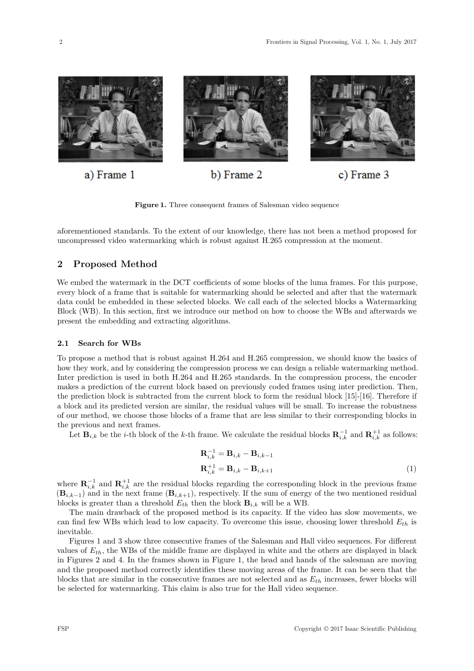

**Figure 1.** Three consequent frames of Salesman video sequence

aforementioned standards. To the extent of our knowledge, there has not been a method proposed for uncompressed video watermarking which is robust against H.265 compression at the moment.

# **2 Proposed Method**

We embed the watermark in the DCT coefficients of some blocks of the luma frames. For this purpose, every block of a frame that is suitable for watermarking should be selected and after that the watermark data could be embedded in these selected blocks. We call each of the selected blocks a Watermarking Block (WB). In this section, first we introduce our method on how to choose the WBs and afterwards we present the embedding and extracting algorithms.

#### **2.1 Search for WBs**

To propose a method that is robust against H.264 and H.265 compression, we should know the basics of how they work, and by considering the compression process we can design a reliable watermarking method. Inter prediction is used in both H.264 and H.265 standards. In the compression process, the encoder makes a prediction of the current block based on previously coded frames using inter prediction. Then, the prediction block is subtracted from the current block to form the residual block [15]-[16]. Therefore if a block and its predicted version are similar, the residual values will be small. To increase the robustness of our method, we choose those blocks of a frame that are less similar to their corresponding blocks in the previous and next frames.

Let  $\mathbf{B}_{i,k}$  be the *i*-th block of the *k*-th frame. We calculate the residual blocks  $\mathbf{R}_{i,k}^{-1}$  and  $\mathbf{R}_{i,k}^{+1}$  as follows:

$$
Ri,k-1 = Bi,k - Bi,k-1\n\nRi,k+1 = Bi,k - Bi,k+1\n(1)
$$

where  $\mathbf{R}_{i,k}^{-1}$  and  $\mathbf{R}_{i,k}^{+1}$  are the residual blocks regarding the corresponding block in the previous frame  $(\mathbf{B}_{i,k-1})$  and in the next frame  $(\mathbf{B}_{i,k+1})$ , respectively. If the sum of energy of the two mentioned residual blocks is greater than a threshold  $E_{th}$  then the block  $\mathbf{B}_{i,k}$  will be a WB.

The main drawback of the proposed method is its capacity. If the video has slow movements, we can find few WBs which lead to low capacity. To overcome this issue, choosing lower threshold *Eth* is inevitable.

Figures 1 and 3 show three consecutive frames of the Salesman and Hall video sequences. For different values of *Eth*, the WBs of the middle frame are displayed in white and the others are displayed in black in Figures 2 and 4. In the frames shown in Figure 1, the head and hands of the salesman are moving and the proposed method correctly identifies these moving areas of the frame. It can be seen that the blocks that are similar in the consecutive frames are not selected and as *Eth* increases, fewer blocks will be selected for watermarking. This claim is also true for the Hall video sequence.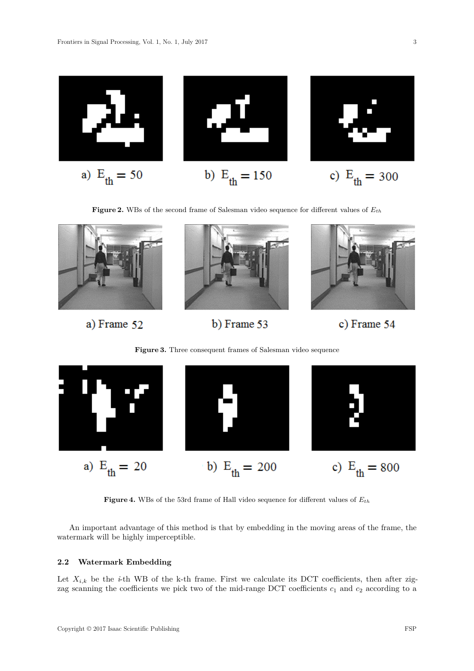

**Figure 2.** WBs of the second frame of Salesman video sequence for different values of *Eth*



a) Frame 52

b) Frame 53

c) Frame 54

**Figure 3.** Three consequent frames of Salesman video sequence



**Figure 4.** WBs of the 53rd frame of Hall video sequence for different values of *Eth*

An important advantage of this method is that by embedding in the moving areas of the frame, the watermark will be highly imperceptible.

## **2.2 Watermark Embedding**

Let  $X_{i,k}$  be the *i*-th WB of the k-th frame. First we calculate its DCT coefficients, then after zigzag scanning the coefficients we pick two of the mid-range DCT coefficients  $c_1$  and  $c_2$  according to a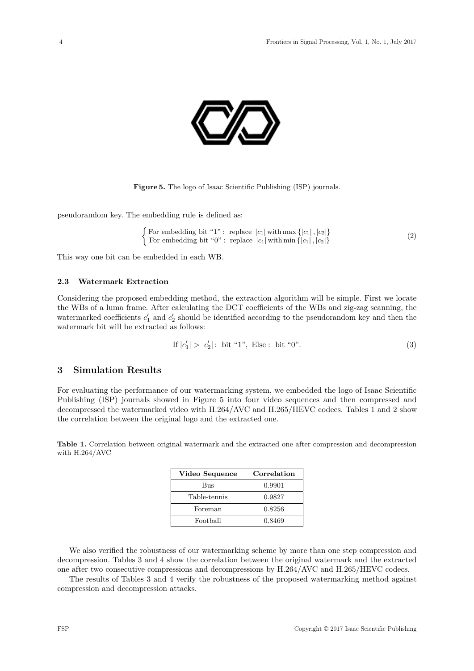

**Figure 5.** The logo of Isaac Scientific Publishing (ISP) journals.

pseudorandom key. The embedding rule is defined as:

$$
\begin{cases}\n\text{For embedding bit "1": replace } |c_1| \text{ with } \max\{|c_1|, |c_2|\} \\
\text{For embedding bit "0": replace } |c_1| \text{ with } \min\{|c_1|, |c_2|\}\n\end{cases} \tag{2}
$$

This way one bit can be embedded in each WB.

#### **2.3 Watermark Extraction**

Considering the proposed embedding method, the extraction algorithm will be simple. First we locate the WBs of a luma frame. After calculating the DCT coefficients of the WBs and zig-zag scanning, the watermarked coefficients  $c'_1$  and  $c'_2$  should be identified according to the pseudorandom key and then the watermark bit will be extracted as follows:

If 
$$
|c'_1| > |c'_2|
$$
: bit "1", Else : bit "0". (3)

## **3 Simulation Results**

For evaluating the performance of our watermarking system, we embedded the logo of Isaac Scientific Publishing (ISP) journals showed in Figure 5 into four video sequences and then compressed and decompressed the watermarked video with H.264/AVC and H.265/HEVC codecs. Tables 1 and 2 show the correlation between the original logo and the extracted one.

**Table 1.** Correlation between original watermark and the extracted one after compression and decompression with H.264/AVC

| Video Sequence | Correlation |
|----------------|-------------|
| Bus            | 0.9901      |
| Table-tennis   | 0.9827      |
| Foreman        | 0.8256      |
| Football       | 0.8469      |

We also verified the robustness of our watermarking scheme by more than one step compression and decompression. Tables 3 and 4 show the correlation between the original watermark and the extracted one after two consecutive compressions and decompressions by H.264/AVC and H.265/HEVC codecs.

The results of Tables 3 and 4 verify the robustness of the proposed watermarking method against compression and decompression attacks.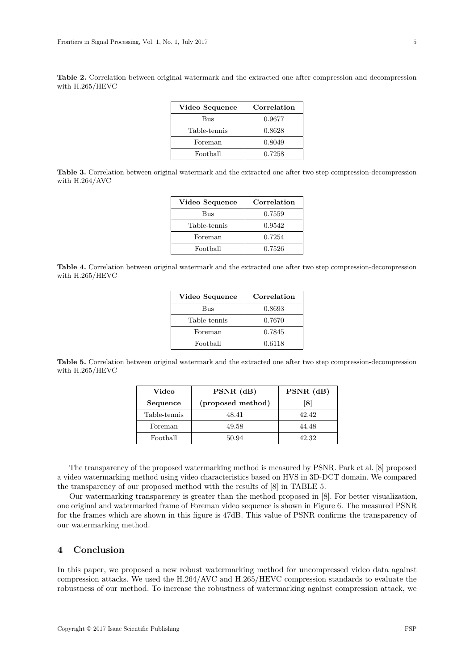**Table 2.** Correlation between original watermark and the extracted one after compression and decompression with H.265/HEVC

| Video Sequence | Correlation |
|----------------|-------------|
| Bus            | 0.9677      |
| Table-tennis   | 0.8628      |
| Foreman        | 0.8049      |
| Football       | 0.7258      |

**Table 3.** Correlation between original watermark and the extracted one after two step compression-decompression with H.264/AVC

| Video Sequence | Correlation |
|----------------|-------------|
| Bus            | 0.7559      |
| Table-tennis   | 0.9542      |
| Foreman        | 0.7254      |
| Football       | 0.7526      |

**Table 4.** Correlation between original watermark and the extracted one after two step compression-decompression with H.265/HEVC

| Video Sequence | Correlation |
|----------------|-------------|
| Bus            | 0.8693      |
| Table-tennis   | 0.7670      |
| Foreman        | 0.7845      |
| Football       | 0.6118      |

**Table 5.** Correlation between original watermark and the extracted one after two step compression-decompression with H.265/HEVC

| Video        | $PSNR$ (dB)       | $PSNR$ (dB) |
|--------------|-------------------|-------------|
| Sequence     | (proposed method) | [8]         |
| Table-tennis | 48.41             | 42.42       |
| Foreman      | 49.58             | 44.48       |
| Football     | 50.94             | 42.32       |

The transparency of the proposed watermarking method is measured by PSNR. Park et al. [8] proposed a video watermarking method using video characteristics based on HVS in 3D-DCT domain. We compared the transparency of our proposed method with the results of [8] in TABLE 5.

Our watermarking transparency is greater than the method proposed in [8]. For better visualization, one original and watermarked frame of Foreman video sequence is shown in Figure 6. The measured PSNR for the frames which are shown in this figure is 47dB. This value of PSNR confirms the transparency of our watermarking method.

# **4 Conclusion**

In this paper, we proposed a new robust watermarking method for uncompressed video data against compression attacks. We used the H.264/AVC and H.265/HEVC compression standards to evaluate the robustness of our method. To increase the robustness of watermarking against compression attack, we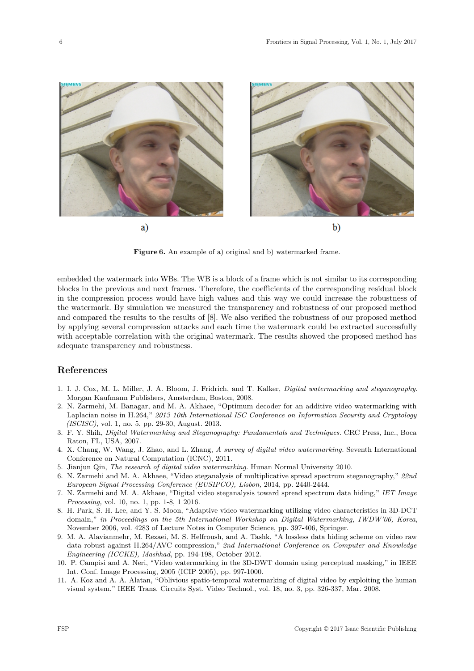

**Figure 6.** An example of a) original and b) watermarked frame.

embedded the watermark into WBs. The WB is a block of a frame which is not similar to its corresponding blocks in the previous and next frames. Therefore, the coefficients of the corresponding residual block in the compression process would have high values and this way we could increase the robustness of the watermark. By simulation we measured the transparency and robustness of our proposed method and compared the results to the results of [8]. We also verified the robustness of our proposed method by applying several compression attacks and each time the watermark could be extracted successfully with acceptable correlation with the original watermark. The results showed the proposed method has adequate transparency and robustness.

## **References**

- 1. I. J. Cox, M. L. Miller, J. A. Bloom, J. Fridrich, and T. Kalker, *Digital watermarking and steganography.* Morgan Kaufmann Publishers, Amsterdam, Boston, 2008.
- 2. N. Zarmehi, M. Banagar, and M. A. Akhaee, "Optimum decoder for an additive video watermarking with Laplacian noise in H.264," *2013 10th International ISC Conference on Information Security and Cryptology (ISCISC)*, vol. 1, no. 5, pp. 29-30, August. 2013.
- 3. F. Y. Shih, *Digital Watermarking and Steganography: Fundamentals and Techniques.* CRC Press, Inc., Boca Raton, FL, USA, 2007.
- 4. X. Chang, W. Wang, J. Zhao, and L. Zhang, *A survey of digital video watermarking.* Seventh International Conference on Natural Computation (ICNC), 2011.
- 5. Jianjun Qin, *The research of digital video watermarking.* Hunan Normal University 2010.
- 6. N. Zarmehi and M. A. Akhaee, "Video steganalysis of multiplicative spread spectrum steganography," *22nd European Signal Processing Conference (EUSIPCO), Lisbon,* 2014, pp. 2440-2444.
- 7. N. Zarmehi and M. A. Akhaee, "Digital video steganalysis toward spread spectrum data hiding," *IET Image Processing,* vol. 10, no. 1, pp. 1-8, 1 2016.
- 8. H. Park, S. H. Lee, and Y. S. Moon, "Adaptive video watermarking utilizing video characteristics in 3D-DCT domain," *in Proceedings on the 5th International Workshop on Digital Watermarking, IWDW'06, Korea*, November 2006, vol. 4283 of Lecture Notes in Computer Science, pp. 397-406, Springer.
- 9. M. A. Alavianmehr, M. Rezaei, M. S. Helfroush, and A. Tashk, "A lossless data hiding scheme on video raw data robust against H.264/AVC compression," *2nd International Conference on Computer and Knowledge Engineering (ICCKE), Mashhad*, pp. 194-198, October 2012.
- 10. P. Campisi and A. Neri, "Video watermarking in the 3D-DWT domain using perceptual masking," in IEEE Int. Conf. Image Processing, 2005 (ICIP 2005), pp. 997-1000.
- 11. A. Koz and A. A. Alatan, "Oblivious spatio-temporal watermarking of digital video by exploiting the human visual system," IEEE Trans. Circuits Syst. Video Technol., vol. 18, no. 3, pp. 326-337, Mar. 2008.